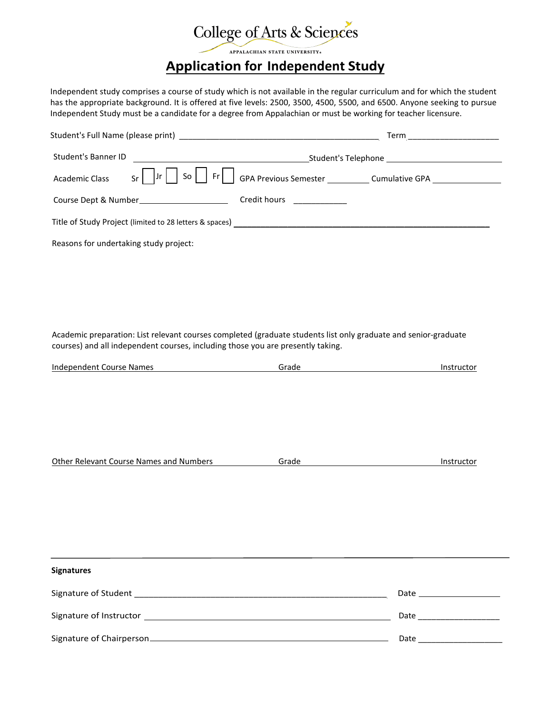# College of Arts & Sciences **Application for Independent Study**

Independent study comprises a course of study which is not available in the regular curriculum and for which the student has the appropriate background. It is offered at five levels: 2500, 3500, 4500, 5500, and 6500. Anyone seeking to pursue Independent Study must be a candidate for a degree from Appalachian or must be working for teacher licensure.

|                                        |                                             | Term ______________________ |  |
|----------------------------------------|---------------------------------------------|-----------------------------|--|
| Student's Banner ID                    |                                             |                             |  |
| Academic Class                         |                                             |                             |  |
|                                        | Course Dept & Number_______________________ | Credit hours ___________    |  |
|                                        |                                             |                             |  |
| Reasons for undertaking study project: |                                             |                             |  |

Academic preparation: List relevant courses completed (graduate students list only graduate and senior-graduate courses) and all independent courses, including those you are presently taking.

| <b>Independent Course Names</b>         | Grade                                                                                                                                                                                                                                         | Instructor |
|-----------------------------------------|-----------------------------------------------------------------------------------------------------------------------------------------------------------------------------------------------------------------------------------------------|------------|
|                                         |                                                                                                                                                                                                                                               |            |
|                                         |                                                                                                                                                                                                                                               |            |
|                                         |                                                                                                                                                                                                                                               |            |
|                                         |                                                                                                                                                                                                                                               |            |
|                                         |                                                                                                                                                                                                                                               |            |
|                                         |                                                                                                                                                                                                                                               |            |
|                                         |                                                                                                                                                                                                                                               |            |
| Other Relevant Course Names and Numbers | Grade<br><u>and the state of the state of the state of the state of the state of the state of the state of the state of the state of the state of the state of the state of the state of the state of the state of the state of the state</u> | Instructor |
|                                         |                                                                                                                                                                                                                                               |            |
|                                         |                                                                                                                                                                                                                                               |            |
|                                         |                                                                                                                                                                                                                                               |            |
|                                         |                                                                                                                                                                                                                                               |            |
|                                         |                                                                                                                                                                                                                                               |            |
|                                         |                                                                                                                                                                                                                                               |            |
|                                         |                                                                                                                                                                                                                                               |            |
| <b>Signatures</b>                       |                                                                                                                                                                                                                                               |            |
|                                         |                                                                                                                                                                                                                                               |            |
|                                         |                                                                                                                                                                                                                                               |            |
|                                         |                                                                                                                                                                                                                                               |            |
|                                         |                                                                                                                                                                                                                                               |            |

Signature of Chairperson\_ \_\_\_\_\_\_\_\_\_\_\_\_\_\_\_\_\_\_\_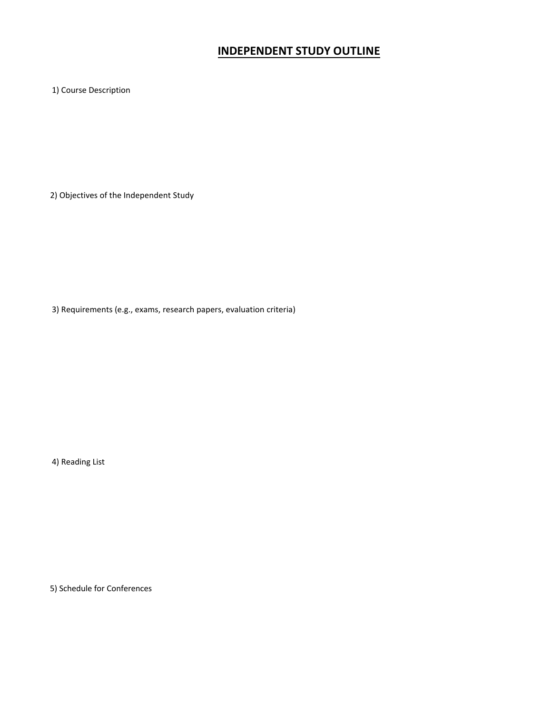## **INDEPENDENT STUDY OUTLINE**

1) Course Description

2) Objectives of the Independent Study

3) Requirements (e.g., exams, research papers, evaluation criteria)

4) Reading List

5) Schedule for Conferences